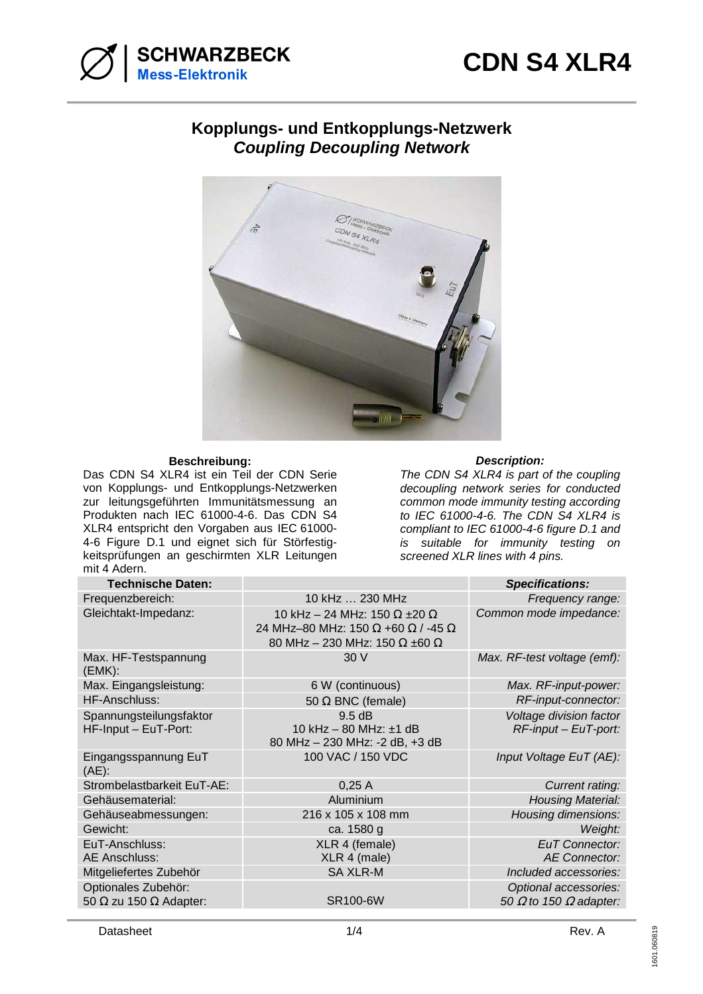

## **Kopplungs- und Entkopplungs-Netzwerk Coupling Decoupling Network**



## **Beschreibung: Description:**

Das CDN S4 XLR4 ist ein Teil der CDN Serie von Kopplungs- und Entkopplungs-Netzwerken zur leitungsgeführten Immunitätsmessung an Produkten nach IEC 61000-4-6. Das CDN S4 XLR4 entspricht den Vorgaben aus IEC 61000- 4-6 Figure D.1 und eignet sich für Störfestigkeitsprüfungen an geschirmten XLR Leitungen mit 4 Adern.

The CDN S4 XLR4 is part of the coupling decoupling network series for conducted common mode immunity testing according to IEC 61000-4-6. The CDN S4 XLR4 is compliant to IEC 61000-4-6 figure D.1 and is suitable for immunity testing on screened XLR lines with 4 pins.

| <b>Technische Daten:</b>                                    |                                                                                                                                 | <b>Specifications:</b>                                        |
|-------------------------------------------------------------|---------------------------------------------------------------------------------------------------------------------------------|---------------------------------------------------------------|
| Frequenzbereich:                                            | 10 kHz  230 MHz                                                                                                                 | Frequency range:                                              |
| Gleichtakt-Impedanz:                                        | 10 kHz - 24 MHz: 150 $\Omega$ ±20 $\Omega$<br>24 MHz-80 MHz: 150 Ω +60 Ω / -45 Ω<br>80 MHz - 230 MHz: 150 $\Omega$ ±60 $\Omega$ | Common mode impedance:                                        |
| Max. HF-Testspannung<br>(EMK):                              | 30V                                                                                                                             | Max. RF-test voltage (emf):                                   |
| Max. Eingangsleistung:                                      | 6 W (continuous)                                                                                                                | Max. RF-input-power:                                          |
| <b>HF-Anschluss:</b>                                        | 50 $\Omega$ BNC (female)                                                                                                        | RF-input-connector:                                           |
| Spannungsteilungsfaktor                                     | $9.5$ dB                                                                                                                        | Voltage division factor                                       |
| HF-Input - EuT-Port:                                        | 10 kHz - 80 MHz: ±1 dB<br>80 MHz - 230 MHz: -2 dB, +3 dB                                                                        | $RF$ -input – EuT-port:                                       |
| Eingangsspannung EuT<br>$(AE)$ :                            | 100 VAC / 150 VDC                                                                                                               | Input Voltage EuT (AE):                                       |
| Strombelastbarkeit EuT-AE:                                  | 0,25A                                                                                                                           | Current rating:                                               |
| Gehäusematerial:                                            | Aluminium                                                                                                                       | <b>Housing Material:</b>                                      |
| Gehäuseabmessungen:                                         | 216 x 105 x 108 mm                                                                                                              | Housing dimensions:                                           |
| Gewicht:                                                    | ca. 1580 g                                                                                                                      | Weight:                                                       |
| EuT-Anschluss:<br><b>AE Anschluss:</b>                      | XLR 4 (female)<br>XLR 4 (male)                                                                                                  | <b>EuT Connector:</b><br>AE Connector:                        |
| Mitgeliefertes Zubehör                                      | <b>SA XLR-M</b>                                                                                                                 | Included accessories:                                         |
| Optionales Zubehör:<br>50 $\Omega$ zu 150 $\Omega$ Adapter: | <b>SR100-6W</b>                                                                                                                 | Optional accessories:<br>50 $\Omega$ to 150 $\Omega$ adapter: |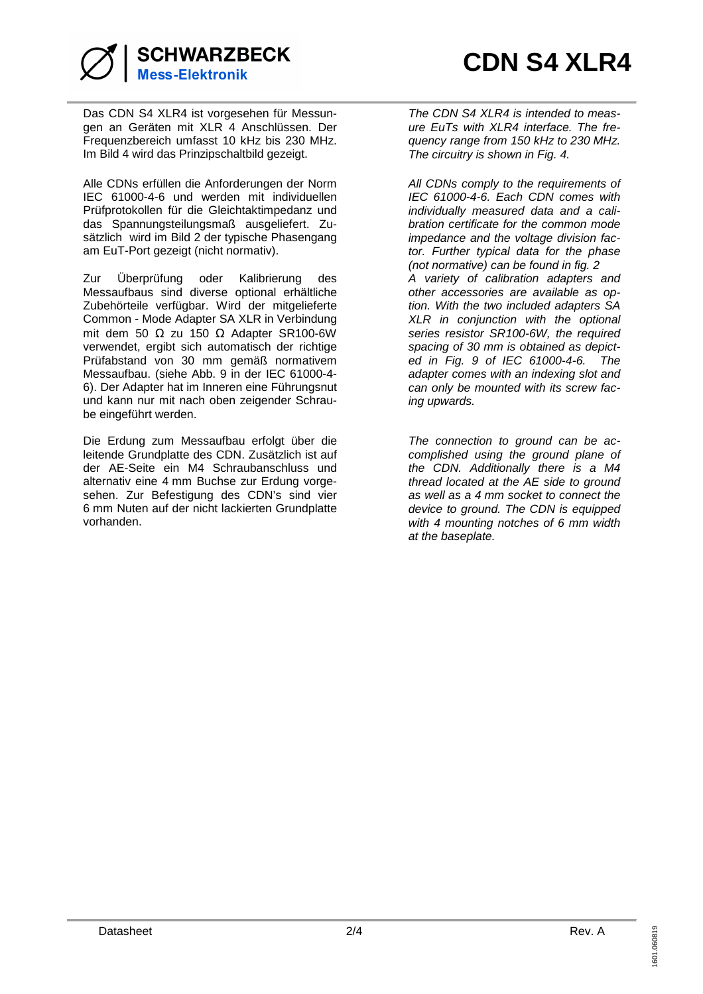

Das CDN S4 XLR4 ist vorgesehen für Messungen an Geräten mit XLR 4 Anschlüssen. Der Frequenzbereich umfasst 10 kHz bis 230 MHz. Im Bild 4 wird das Prinzipschaltbild gezeigt.

Alle CDNs erfüllen die Anforderungen der Norm IEC 61000-4-6 und werden mit individuellen Prüfprotokollen für die Gleichtaktimpedanz und das Spannungsteilungsmaß ausgeliefert. Zusätzlich wird im Bild 2 der typische Phasengang am EuT-Port gezeigt (nicht normativ).

Zur Überprüfung oder Kalibrierung des Messaufbaus sind diverse optional erhältliche Zubehörteile verfügbar. Wird der mitgelieferte Common - Mode Adapter SA XLR in Verbindung mit dem 50 Ω zu 150 Ω Adapter SR100-6W verwendet, ergibt sich automatisch der richtige Prüfabstand von 30 mm gemäß normativem Messaufbau. (siehe Abb. 9 in der IEC 61000-4- 6). Der Adapter hat im Inneren eine Führungsnut und kann nur mit nach oben zeigender Schraube eingeführt werden.

Die Erdung zum Messaufbau erfolgt über die leitende Grundplatte des CDN. Zusätzlich ist auf der AE-Seite ein M4 Schraubanschluss und alternativ eine 4 mm Buchse zur Erdung vorgesehen. Zur Befestigung des CDN's sind vier 6 mm Nuten auf der nicht lackierten Grundplatte vorhanden.

The CDN S4 XLR4 is intended to measure EuTs with XLR4 interface. The frequency range from 150 kHz to 230 MHz. The circuitry is shown in Fig. 4.

All CDNs comply to the requirements of IEC 61000-4-6. Each CDN comes with individually measured data and a calibration certificate for the common mode impedance and the voltage division factor. Further typical data for the phase (not normative) can be found in fig. 2 A variety of calibration adapters and other accessories are available as option. With the two included adapters SA XLR in conjunction with the optional series resistor SR100-6W, the required spacing of 30 mm is obtained as depicted in Fig. 9 of IEC 61000-4-6. The adapter comes with an indexing slot and can only be mounted with its screw facing upwards.

The connection to ground can be accomplished using the ground plane of the CDN. Additionally there is a M4 thread located at the AE side to ground as well as a 4 mm socket to connect the device to ground. The CDN is equipped with 4 mounting notches of 6 mm width at the baseplate.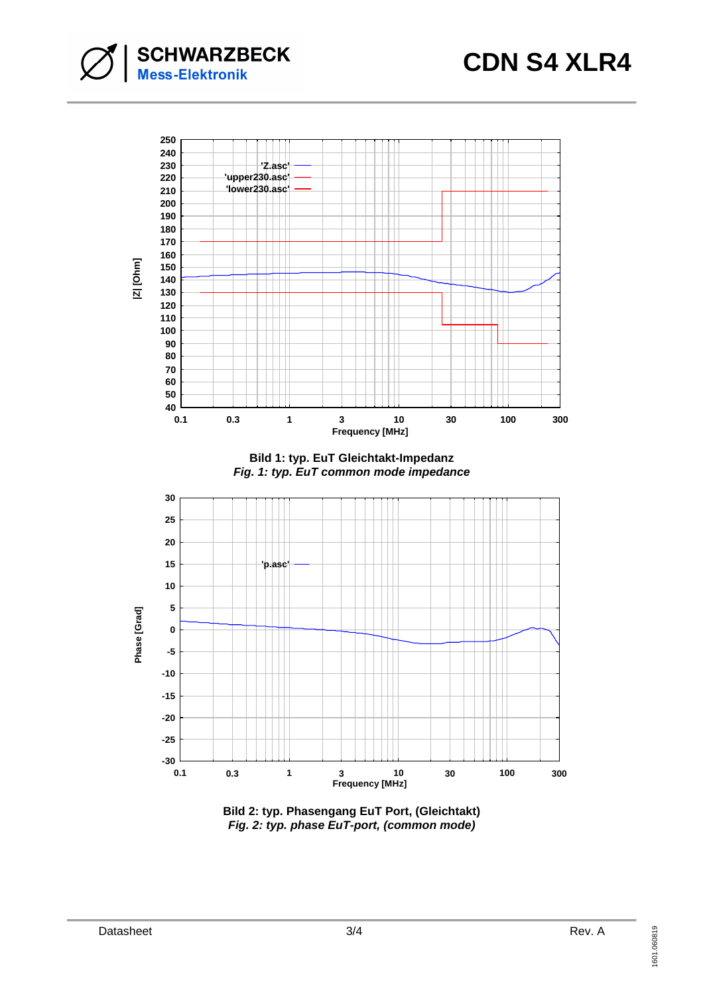**SCHWARZBECK**<br>Mess-Elektronik



**Bild 2: typ. Phasengang EuT Port, (Gleichtakt) Fig. 2: typ. phase EuT-port, (common mode)**